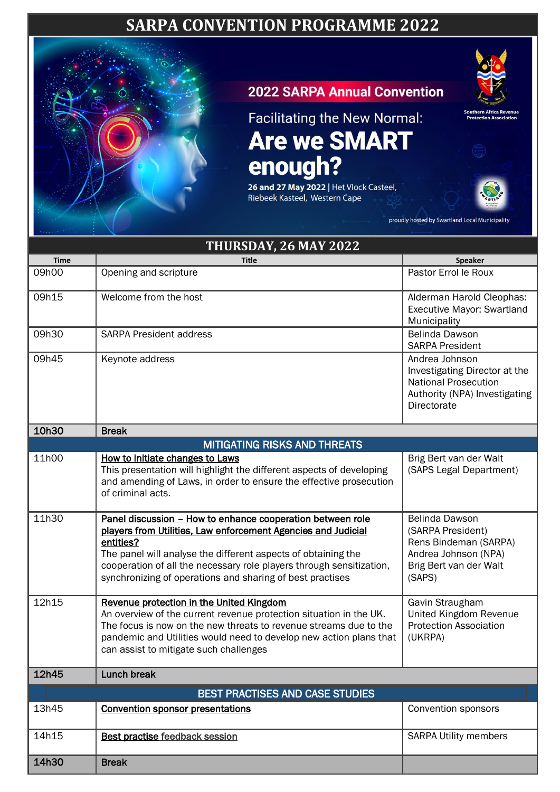## **SARPA CONVENTION PROGRAMME 2022**



## **2022 SARPA Annual Convention**



26 and 27 May 2022 | Het Vlock Casteel, Riebeek Kasteel, Western Cape



| orașe de              |                                                                                                                                                                                                                                                                                                                                                |                                                                                                                                |  |  |
|-----------------------|------------------------------------------------------------------------------------------------------------------------------------------------------------------------------------------------------------------------------------------------------------------------------------------------------------------------------------------------|--------------------------------------------------------------------------------------------------------------------------------|--|--|
| THURSDAY, 26 MAY 2022 |                                                                                                                                                                                                                                                                                                                                                |                                                                                                                                |  |  |
| <b>Time</b>           | <b>Title</b>                                                                                                                                                                                                                                                                                                                                   | <b>Speaker</b>                                                                                                                 |  |  |
| 09h00                 | Opening and scripture                                                                                                                                                                                                                                                                                                                          | Pastor Errol le Roux                                                                                                           |  |  |
| 09h15                 | Welcome from the host                                                                                                                                                                                                                                                                                                                          | Alderman Harold Cleophas:<br><b>Executive Mayor: Swartland</b><br>Municipality                                                 |  |  |
| 09h30                 | <b>SARPA President address</b>                                                                                                                                                                                                                                                                                                                 | Belinda Dawson<br><b>SARPA President</b>                                                                                       |  |  |
| 09h45                 | Keynote address                                                                                                                                                                                                                                                                                                                                | Andrea Johnson<br>Investigating Director at the<br><b>National Prosecution</b><br>Authority (NPA) Investigating<br>Directorate |  |  |
| 10h30                 | <b>Break</b>                                                                                                                                                                                                                                                                                                                                   |                                                                                                                                |  |  |
|                       | <b>MITIGATING RISKS AND THREATS</b>                                                                                                                                                                                                                                                                                                            |                                                                                                                                |  |  |
| 11h00                 | How to initiate changes to Laws<br>This presentation will highlight the different aspects of developing<br>and amending of Laws, in order to ensure the effective prosecution<br>of criminal acts.                                                                                                                                             | Brig Bert van der Walt<br>(SAPS Legal Department)                                                                              |  |  |
| 11h30                 | Panel discussion - How to enhance cooperation between role<br>players from Utilities, Law enforcement Agencies and Judicial<br>entities?<br>The panel will analyse the different aspects of obtaining the<br>cooperation of all the necessary role players through sensitization,<br>synchronizing of operations and sharing of best practises | Belinda Dawson<br>(SARPA President)<br>Rens Bindeman (SARPA)<br>Andrea Johnson (NPA)<br>Brig Bert van der Walt<br>(SAPS)       |  |  |
| 12h15                 | Revenue protection in the United Kingdom<br>An overview of the current revenue protection situation in the UK.<br>The focus is now on the new threats to revenue streams due to the<br>pandemic and Utilities would need to develop new action plans that<br>can assist to mitigate such challenges                                            | Gavin Straugham<br>United Kingdom Revenue<br><b>Protection Association</b><br>(UKRPA)                                          |  |  |
| 12h45                 | Lunch break                                                                                                                                                                                                                                                                                                                                    |                                                                                                                                |  |  |
|                       | BEST PRACTISES AND CASE STUDIES                                                                                                                                                                                                                                                                                                                |                                                                                                                                |  |  |
| 13h45                 | <b>Convention sponsor presentations</b>                                                                                                                                                                                                                                                                                                        | Convention sponsors                                                                                                            |  |  |
| 14h15                 | <b>Best practise feedback session</b>                                                                                                                                                                                                                                                                                                          | <b>SARPA Utility members</b>                                                                                                   |  |  |
| 14h30                 | <b>Break</b>                                                                                                                                                                                                                                                                                                                                   |                                                                                                                                |  |  |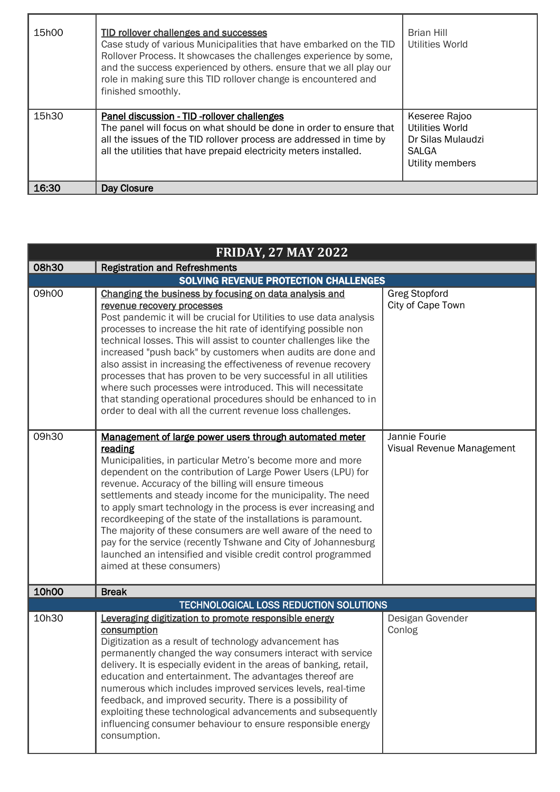| 15h00 | TID rollover challenges and successes<br>Case study of various Municipalities that have embarked on the TID<br>Rollover Process. It showcases the challenges experience by some,<br>and the success experienced by others. ensure that we all play our<br>role in making sure this TID rollover change is encountered and<br>finished smoothly. | <b>Brian Hill</b><br><b>Utilities World</b>                                              |
|-------|-------------------------------------------------------------------------------------------------------------------------------------------------------------------------------------------------------------------------------------------------------------------------------------------------------------------------------------------------|------------------------------------------------------------------------------------------|
| 15h30 | Panel discussion - TID -rollover challenges<br>The panel will focus on what should be done in order to ensure that<br>all the issues of the TID rollover process are addressed in time by<br>all the utilities that have prepaid electricity meters installed.                                                                                  | Keseree Rajoo<br>Utilities World<br>Dr Silas Mulaudzi<br><b>SALGA</b><br>Utility members |
| 16:30 | <b>Day Closure</b>                                                                                                                                                                                                                                                                                                                              |                                                                                          |

| <b>FRIDAY, 27 MAY 2022</b>            |                                                                                                                                                                                                                                                                                                                                                                                                                                                                                                                                                                                                                                                                                                         |                                            |  |  |
|---------------------------------------|---------------------------------------------------------------------------------------------------------------------------------------------------------------------------------------------------------------------------------------------------------------------------------------------------------------------------------------------------------------------------------------------------------------------------------------------------------------------------------------------------------------------------------------------------------------------------------------------------------------------------------------------------------------------------------------------------------|--------------------------------------------|--|--|
| 08h30                                 | <b>Registration and Refreshments</b>                                                                                                                                                                                                                                                                                                                                                                                                                                                                                                                                                                                                                                                                    |                                            |  |  |
| SOLVING REVENUE PROTECTION CHALLENGES |                                                                                                                                                                                                                                                                                                                                                                                                                                                                                                                                                                                                                                                                                                         |                                            |  |  |
| 09h00                                 | Changing the business by focusing on data analysis and<br>revenue recovery processes<br>Post pandemic it will be crucial for Utilities to use data analysis<br>processes to increase the hit rate of identifying possible non<br>technical losses. This will assist to counter challenges like the<br>increased "push back" by customers when audits are done and<br>also assist in increasing the effectiveness of revenue recovery<br>processes that has proven to be very successful in all utilities<br>where such processes were introduced. This will necessitate<br>that standing operational procedures should be enhanced to in<br>order to deal with all the current revenue loss challenges. | <b>Greg Stopford</b><br>City of Cape Town  |  |  |
| 09h30                                 | Management of large power users through automated meter<br>reading<br>Municipalities, in particular Metro's become more and more<br>dependent on the contribution of Large Power Users (LPU) for<br>revenue. Accuracy of the billing will ensure timeous<br>settlements and steady income for the municipality. The need<br>to apply smart technology in the process is ever increasing and<br>recordkeeping of the state of the installations is paramount.<br>The majority of these consumers are well aware of the need to<br>pay for the service (recently Tshwane and City of Johannesburg<br>launched an intensified and visible credit control programmed<br>aimed at these consumers)           | Jannie Fourie<br>Visual Revenue Management |  |  |
| 10h00                                 | <b>Break</b>                                                                                                                                                                                                                                                                                                                                                                                                                                                                                                                                                                                                                                                                                            |                                            |  |  |
|                                       | TECHNOLOGICAL LOSS REDUCTION SOLUTIONS                                                                                                                                                                                                                                                                                                                                                                                                                                                                                                                                                                                                                                                                  |                                            |  |  |
| 10h30                                 | Leveraging digitization to promote responsible energy<br>consumption<br>Digitization as a result of technology advancement has<br>permanently changed the way consumers interact with service<br>delivery. It is especially evident in the areas of banking, retail,<br>education and entertainment. The advantages thereof are<br>numerous which includes improved services levels, real-time<br>feedback, and improved security. There is a possibility of<br>exploiting these technological advancements and subsequently<br>influencing consumer behaviour to ensure responsible energy<br>consumption.                                                                                             | Desigan Govender<br>Conlog                 |  |  |